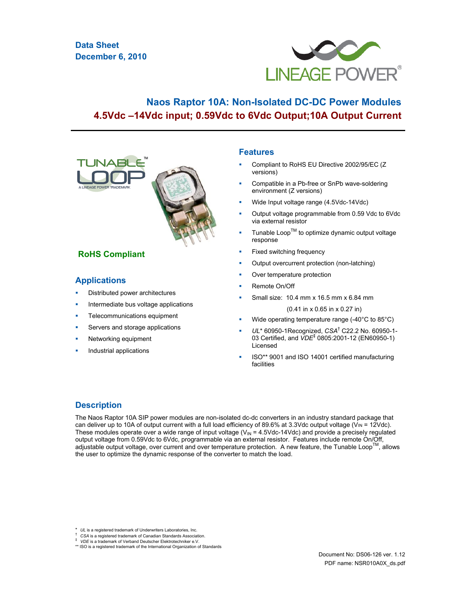# **Data Sheet December 6, 2010**



# **Naos Raptor 10A: Non-Isolated DC-DC Power Modules 4.5Vdc –14Vdc input; 0.59Vdc to 6Vdc Output;10A Output Current**



# **RoHS Compliant**

# **Applications**

- Distributed power architectures
- Intermediate bus voltage applications
- Telecommunications equipment
- Servers and storage applications
- Networking equipment
- Industrial applications

### **Features**

- Compliant to RoHS EU Directive 2002/95/EC (Z versions)
- Compatible in a Pb-free or SnPb wave-soldering environment (Z versions)
- Wide Input voltage range (4.5Vdc-14Vdc)
- Output voltage programmable from 0.59 Vdc to 6Vdc via external resistor
- Tunable  $\text{Loop}^{\text{TM}}$  to optimize dynamic output voltage response
- Fixed switching frequency
- Output overcurrent protection (non-latching)
- Over temperature protection
- Remote On/Off
- Small size: 10.4 mm x 16.5 mm x 6.84 mm

(0.41 in x 0.65 in x 0.27 in)

- Wide operating temperature range (-40°C to 85°C)
- UL\* 60950-1Recognized, CSA<sup>†</sup> C22.2 No. 60950-1-03 Certified, and *VDE*‡ 0805:2001-12 (EN60950-1) Licensed
- ISO\*\* 9001 and ISO 14001 certified manufacturing facilities

# **Description**

The Naos Raptor 10A SIP power modules are non-isolated dc-dc converters in an industry standard package that can deliver up to 10A of output current with a full load efficiency of 89.6% at 3.3Vdc output voltage (V $w = 12V$ dc). These modules operate over a wide range of input voltage  $(V_{\text{IN}} = 4.5$ Vdc-14Vdc) and provide a precisely regulated output voltage from 0.59Vdc to 6Vdc, programmable via an external resistor. Features include remote On/Off, adjustable output voltage, over current and over temperature protection. A new feature, the Tunable Loop™, allows the user to optimize the dynamic response of the converter to match the load.

<sup>\*</sup> *UL* is a registered trademark of Underwriters Laboratories, Inc.<br><sup>†</sup> *CSA* is a registered trademark of Canadian Standards Association.

<sup>\*</sup> *VDE* is a trademark of Verband Deutscher Elektrotechniker e.V.<br>\*\* ISO is a registered trademark of the International Organization of Standards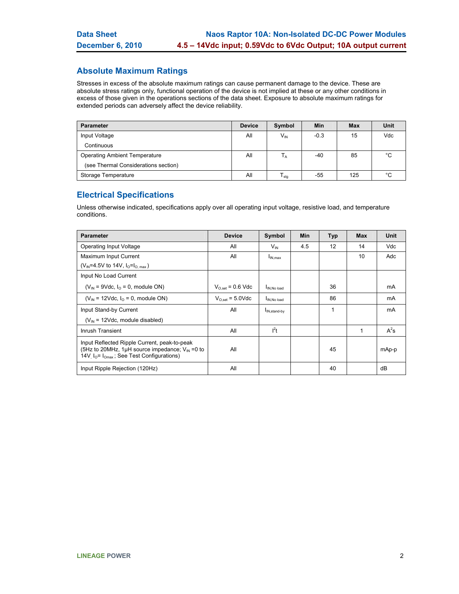# **Absolute Maximum Ratings**

Stresses in excess of the absolute maximum ratings can cause permanent damage to the device. These are absolute stress ratings only, functional operation of the device is not implied at these or any other conditions in excess of those given in the operations sections of the data sheet. Exposure to absolute maximum ratings for extended periods can adversely affect the device reliability.

| <b>Parameter</b>                     | <b>Device</b> | Symbol                    | Min    | <b>Max</b> | Unit        |
|--------------------------------------|---------------|---------------------------|--------|------------|-------------|
| Input Voltage                        | All           | $V_{IN}$                  | $-0.3$ | 15         | Vdc         |
| Continuous                           |               |                           |        |            |             |
| <b>Operating Ambient Temperature</b> | All           | $\mathsf{I}_{\mathsf{A}}$ | -40    | 85         | °C          |
| (see Thermal Considerations section) |               |                           |        |            |             |
| Storage Temperature                  | All           | $I_{\text{stq}}$          | -55    | 125        | $^{\circ}C$ |

# **Electrical Specifications**

Unless otherwise indicated, specifications apply over all operating input voltage, resistive load, and temperature conditions.

| <b>Parameter</b>                                                                                                                                                       | <b>Device</b>         | Symbol                   | Min | <b>Typ</b> | <b>Max</b> | Unit   |
|------------------------------------------------------------------------------------------------------------------------------------------------------------------------|-----------------------|--------------------------|-----|------------|------------|--------|
| Operating Input Voltage                                                                                                                                                | All                   | $V_{IN}$                 | 4.5 | 12         | 14         | Vdc    |
| Maximum Input Current                                                                                                                                                  | All                   | $I_{IN,max}$             |     |            | 10         | Adc    |
| (V <sub>IN</sub> =4.5V to 14V, $I_0 = I_0$ <sub>max</sub> )                                                                                                            |                       |                          |     |            |            |        |
| Input No Load Current                                                                                                                                                  |                       |                          |     |            |            |        |
| $(V_{IN} = 9Vdc, IO = 0$ , module ON)                                                                                                                                  | $V_{O,set}$ = 0.6 Vdc | I <sub>IN, No load</sub> |     | 36         |            | mA     |
| $(V_{IN} = 12Vdc, IO = 0$ , module ON)                                                                                                                                 | $V_{O,set}$ = 5.0Vdc  | IN No load               |     | 86         |            | mA     |
| Input Stand-by Current                                                                                                                                                 | All                   | I <sub>IN,stand-by</sub> |     | 1          |            | mA     |
| $(V_{\text{IN}} = 12 \text{Vdc}$ , module disabled)                                                                                                                    |                       |                          |     |            |            |        |
| Inrush Transient                                                                                                                                                       | All                   | $l^2t$                   |     |            | 1          | $A^2s$ |
| Input Reflected Ripple Current, peak-to-peak<br>(5Hz to 20MHz, 1µH source impedance; $V_{IN} = 0$ to<br>14V <sub>.</sub> $I_0$ = $I_{Omax}$ ; See Test Configurations) | All                   |                          |     | 45         |            | mAp-p  |
| Input Ripple Rejection (120Hz)                                                                                                                                         | All                   |                          |     | 40         |            | dB     |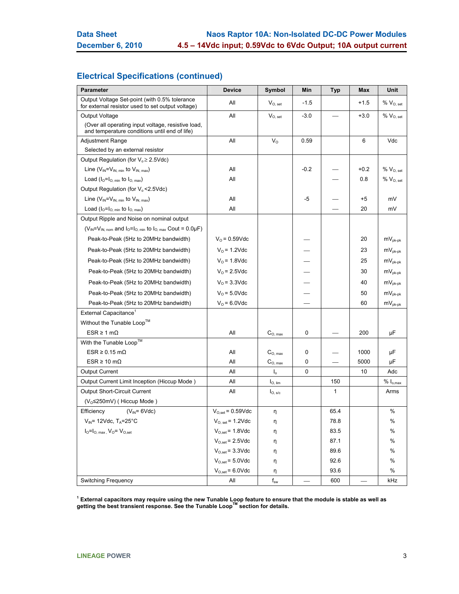# **Electrical Specifications (continued)**

| <b>Parameter</b>                                                                                    | <b>Device</b>         | Symbol                       | Min    | <b>Typ</b> | Max    | Unit                                                    |
|-----------------------------------------------------------------------------------------------------|-----------------------|------------------------------|--------|------------|--------|---------------------------------------------------------|
| Output Voltage Set-point (with 0.5% tolerance<br>for external resistor used to set output voltage)  | All                   | $V_{O, set}$                 | $-1.5$ |            | $+1.5$ | % V <sub>O, set</sub>                                   |
| Output Voltage                                                                                      | All                   | $V_{O, set}$                 | $-3.0$ |            | $+3.0$ | $\%$ $V_{O, set}$                                       |
| (Over all operating input voltage, resistive load,<br>and temperature conditions until end of life) |                       |                              |        |            |        |                                                         |
| <b>Adjustment Range</b>                                                                             | All                   | $V_{\rm O}$                  | 0.59   |            | 6      | Vdc                                                     |
| Selected by an external resistor                                                                    |                       |                              |        |            |        |                                                         |
| Output Regulation (for $V_0 \ge 2.5 \text{Vdc}$ )                                                   |                       |                              |        |            |        |                                                         |
| Line $(V_{IN} = V_{IN, min}$ to $V_{IN, max}$ )                                                     | All                   |                              | $-0.2$ |            | $+0.2$ | $% V_{O, set}$                                          |
| Load $(I_0=I_0_{min}$ to $I_0_{max}$ )                                                              | All                   |                              |        |            | 0.8    | $% V_{O, set}$                                          |
| Output Regulation (for V <sub>o</sub> < 2.5 Vdc)                                                    |                       |                              |        |            |        |                                                         |
| Line $(V_{IN} = V_{IN. min}$ to $V_{IN. max}$ )                                                     | All                   |                              | -5     |            | +5     | mV                                                      |
| Load $(I_0=I_{O, min}$ to $I_{O, max}$ )                                                            | All                   |                              |        |            | 20     | mV                                                      |
| Output Ripple and Noise on nominal output                                                           |                       |                              |        |            |        |                                                         |
| $(V_{IN} = V_{IN, nom}$ and $I_0 = I_{O, min}$ to $I_{O, max}$ Cout = 0.0µF)                        |                       |                              |        |            |        |                                                         |
| Peak-to-Peak (5Hz to 20MHz bandwidth)                                                               | $V_0 = 0.59$ Vdc      |                              |        |            | 20     | $mv_{\rm pk-pk}$                                        |
| Peak-to-Peak (5Hz to 20MHz bandwidth)                                                               | $V_0$ = 1.2Vdc        |                              |        |            | 23     | $mV_{pk-pk}$                                            |
| Peak-to-Peak (5Hz to 20MHz bandwidth)                                                               | $V_0$ = 1.8Vdc        |                              |        |            | 25     | $\mathsf{m}\mathsf{V}_{\mathsf{pk}\text{-}\mathsf{pk}}$ |
| Peak-to-Peak (5Hz to 20MHz bandwidth)                                                               | $V0$ = 2.5Vdc         |                              |        |            | 30     | $\mathsf{mV}_{\mathsf{pk}\text{-}\mathsf{pk}}$          |
| Peak-to-Peak (5Hz to 20MHz bandwidth)                                                               | $V0$ = 3.3Vdc         |                              |        |            | 40     | $\mathsf{mV}_{\mathsf{pk}\text{-}\mathsf{pk}}$          |
| Peak-to-Peak (5Hz to 20MHz bandwidth)                                                               | $V_0$ = 5.0Vdc        |                              |        |            | 50     | $mv_{\rm pk-pk}$                                        |
| Peak-to-Peak (5Hz to 20MHz bandwidth)                                                               | $Vo = 6.0$ Vdc        |                              |        |            | 60     | $mV_{pk-pk}$                                            |
| External Capacitance <sup>1</sup>                                                                   |                       |                              |        |            |        |                                                         |
| Without the Tunable Loop <sup>™</sup>                                                               |                       |                              |        |            |        |                                                         |
| $ESR \ge 1 \text{ mA}$                                                                              | All                   | $C_{O, max}$                 | 0      |            | 200    | μF                                                      |
| With the Tunable Loop™                                                                              |                       |                              |        |            |        |                                                         |
| $ESR \geq 0.15$ m $\Omega$                                                                          | All                   | $C_{O, max}$                 | 0      |            | 1000   | μF                                                      |
| $ESR \ge 10 \text{ m}\Omega$                                                                        | All                   | $\mathbf{C}_{\text{O, max}}$ | 0      |            | 5000   | μF                                                      |
| <b>Output Current</b>                                                                               | All                   | $\mathsf{I}_{\alpha}$        | 0      |            | 10     | Adc                                                     |
| Output Current Limit Inception (Hiccup Mode)                                                        | All                   | $I_{\text{O, lim}}$          |        | 150        |        | $% I_{o,max}$                                           |
| <b>Output Short-Circuit Current</b>                                                                 | All                   | $I_{O, S/c}$                 |        | 1          |        | Arms                                                    |
| $(Vo \le 250$ mV) (Hiccup Mode)                                                                     |                       |                              |        |            |        |                                                         |
| $(V_{IN} = 6Vdc)$<br>Efficiency                                                                     | $V_{O,set}$ = 0.59Vdc | η                            |        | 65.4       |        | %                                                       |
| $V_{IN}$ = 12Vdc, T <sub>A</sub> =25°C                                                              | $V_{O, set}$ = 1.2Vdc | η                            |        | 78.8       |        | $\%$                                                    |
| $I_{\text{O}}=I_{\text{O, max}}$ , $V_{\text{O}}=V_{\text{O, set}}$                                 | $V_{O,set}$ = 1.8Vdc  | η                            |        | 83.5       |        | %                                                       |
|                                                                                                     | $V_{O,set}$ = 2.5Vdc  | η                            |        | 87.1       |        | $\%$                                                    |
|                                                                                                     | $V_{O,set}$ = 3.3Vdc  | η                            |        | 89.6       |        | %                                                       |
|                                                                                                     | $V_{O,set}$ = 5.0Vdc  | η                            |        | 92.6       |        | %                                                       |
|                                                                                                     | $V_{O,set}$ = 6.0Vdc  | η                            |        | 93.6       |        | $\%$                                                    |
| Switching Frequency                                                                                 | All                   | $f_{sw}$                     |        | 600        |        | kHz                                                     |

<sup>1</sup> External capacitors may require using the new Tunable Loop feature to ensure that the module is stable as well as<br>getting the best transient response. See the Tunable Loop™ section for details.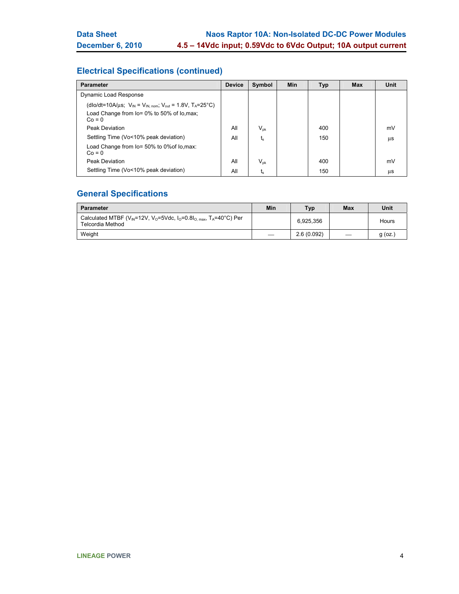# **Electrical Specifications (continued)**

| <b>Parameter</b>                                                                                                                            | <b>Device</b> | Symbol                     | <b>Min</b> | <b>Typ</b> | <b>Max</b> | Unit |
|---------------------------------------------------------------------------------------------------------------------------------------------|---------------|----------------------------|------------|------------|------------|------|
| Dynamic Load Response                                                                                                                       |               |                            |            |            |            |      |
| (dlo/dt=10A/µs; $V_{IN} = V_{IN. nom}$ ; $V_{out} = 1.8V$ , $T_A = 25^{\circ}C$ )<br>Load Change from lo= 0% to 50% of lo, max;<br>$Co = 0$ |               |                            |            |            |            |      |
| <b>Peak Deviation</b>                                                                                                                       | All           | $\mathsf{V}_{\mathsf{pk}}$ |            | 400        |            | mV   |
| Settling Time (Vo<10% peak deviation)                                                                                                       | All           | t,                         |            | 150        |            | μs   |
| Load Change from lo= 50% to 0% of lo, max:<br>$Co = 0$                                                                                      |               |                            |            |            |            |      |
| <b>Peak Deviation</b>                                                                                                                       | All           | $\mathsf{V}_{\mathsf{pk}}$ |            | 400        |            | mV   |
| Settling Time (Vo<10% peak deviation)                                                                                                       | All           | ts                         |            | 150        |            | μs   |

# **General Specifications**

| <b>Parameter</b>                                                                                                                                          | Min | Typ        | Max | Unit      |
|-----------------------------------------------------------------------------------------------------------------------------------------------------------|-----|------------|-----|-----------|
| Calculated MTBF (V <sub>IN</sub> =12V, V <sub>0</sub> =5Vdc, $I_0$ =0.8 $I_0$ <sub>max</sub> , T <sub>A</sub> =40 <sup>o</sup> C) Per<br>Telcordia Method |     | 6.925.356  |     | Hours     |
| Weight                                                                                                                                                    |     | 2.6(0.092) |     | $q$ (oz.) |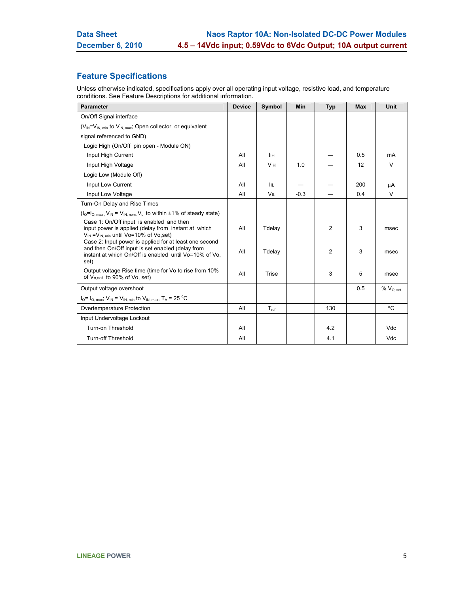# **Feature Specifications**

Unless otherwise indicated, specifications apply over all operating input voltage, resistive load, and temperature conditions. See Feature Descriptions for additional information.

| <b>Parameter</b>                                                                                                                                                             | <b>Device</b> | Symbol                | <b>Min</b> | <b>Typ</b>     | <b>Max</b> | <b>Unit</b>    |
|------------------------------------------------------------------------------------------------------------------------------------------------------------------------------|---------------|-----------------------|------------|----------------|------------|----------------|
| On/Off Signal interface                                                                                                                                                      |               |                       |            |                |            |                |
| $(V_{IN} = V_{IN, min}$ to $V_{IN, max}$ ; Open collector or equivalent                                                                                                      |               |                       |            |                |            |                |
| signal referenced to GND)                                                                                                                                                    |               |                       |            |                |            |                |
| Logic High (On/Off pin open - Module ON)                                                                                                                                     |               |                       |            |                |            |                |
| Input High Current                                                                                                                                                           | All           | Iін                   |            |                | 0.5        | mA             |
| Input High Voltage                                                                                                                                                           | All           | <b>V<sub>IH</sub></b> | 1.0        |                | 12         | $\vee$         |
| Logic Low (Module Off)                                                                                                                                                       |               |                       |            |                |            |                |
| Input Low Current                                                                                                                                                            | All           | IIL.                  |            |                | 200        | μA             |
| Input Low Voltage                                                                                                                                                            | All           | VIL                   | $-0.3$     |                | 0.4        | V              |
| Turn-On Delay and Rise Times                                                                                                                                                 |               |                       |            |                |            |                |
| $(I_0=I_0$ max, $V_{IN} = V_{IN.}$ nom, $V_0$ to within $\pm 1\%$ of steady state)                                                                                           |               |                       |            |                |            |                |
| Case 1: On/Off input is enabled and then<br>input power is applied (delay from instant at which<br>$V_{\text{IN}} = V_{\text{IN}}$ min until Vo=10% of Vo,set)               | All           | Tdelay                |            | $\overline{2}$ | 3          | msec           |
| Case 2: Input power is applied for at least one second<br>and then On/Off input is set enabled (delay from<br>instant at which On/Off is enabled until Vo=10% of Vo,<br>set) | All           | Tdelay                |            | $\overline{2}$ | 3          | msec           |
| Output voltage Rise time (time for Vo to rise from 10%<br>of V <sub>o,set</sub> to 90% of Vo, set)                                                                           | All           | <b>Trise</b>          |            | 3              | 5          | msec           |
| Output voltage overshoot                                                                                                                                                     |               |                       |            |                | 0.5        | $% V_{O, set}$ |
| $I_0 = I_{O. max}$ ; $V_{IN} = V_{IN. min}$ to $V_{IN. max}$ , $T_A = 25$ °C                                                                                                 |               |                       |            |                |            |                |
| Overtemperature Protection                                                                                                                                                   | All           | $T_{ref}$             |            | 130            |            | °C             |
| Input Undervoltage Lockout                                                                                                                                                   |               |                       |            |                |            |                |
| Turn-on Threshold                                                                                                                                                            | All           |                       |            | 4.2            |            | <b>Vdc</b>     |
| <b>Turn-off Threshold</b>                                                                                                                                                    | All           |                       |            | 4.1            |            | Vdc            |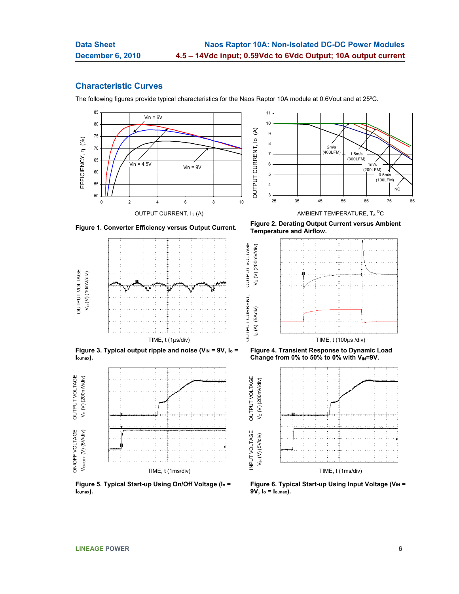**UUIPUI VULIAGE**  $V_O (V) (200mV/div)$ 

### **Characteristic Curves**

The following figures provide typical characteristics for the Naos Raptor 10A module at 0.6Vout and at 25ºC.







Figure 3. Typical output ripple and noise (V<sub>IN</sub> = 9V, I<sub>o</sub> = **Io,max).** 



**Figure 5. Typical Start-up Using On/Off Voltage (Io = Io,max).** 

**Figure 1. Converter Efficiency versus Output Current. Figure 2. Derating Output Current versus Ambient Temperature and Airflow.** 



**Figure 4. Transient Response to Dynamic Load**  Change from 0% to 50% to 0% with V<sub>IN</sub>=9V.



Figure 6. Typical Start-up Using Input Voltage (VIN = **9V, Io = Io,max).**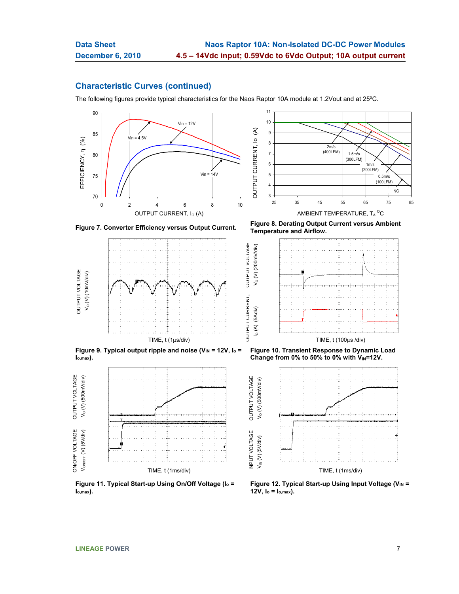**OUIPUI VOLIAGE**  $V_O (V) (200mV/div)$ 

### **Characteristic Curves (continued)**

The following figures provide typical characteristics for the Naos Raptor 10A module at 1.2Vout and at 25ºC.





**OUTPUT VOLTAGE** OUTPUT VOLTAGE  $V_o$  (V) (10mV/div)  $V_{\odot}$  (V) (10mV/div)

Figure 9. Typical output ripple and noise (V<sub>IN</sub> = 12V, I<sub>o</sub> = **Io,max).** 



**Figure 11. Typical Start-up Using On/Off Voltage (Io = Io,max).** 

**Figure 7. Converter Efficiency versus Output Current. Figure 8. Derating Output Current versus Ambient Temperature and Airflow.** 



**Figure 10. Transient Response to Dynamic Load**  Change from 0% to 50% to 0% with V<sub>IN</sub>=12V.



Figure 12. Typical Start-up Using Input Voltage (V<sub>IN</sub> = **12V, Io = Io,max).**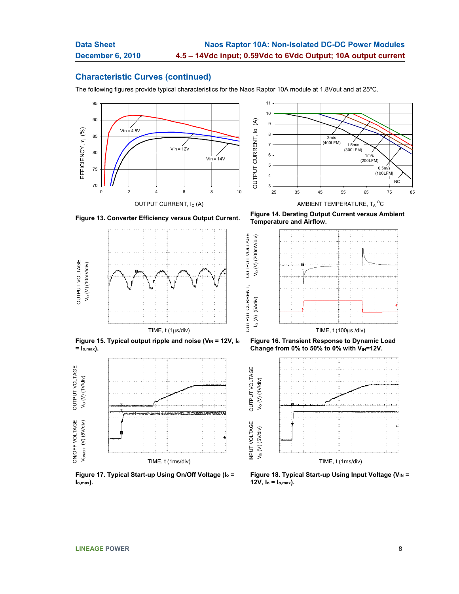### **Characteristic Curves (continued)**

The following figures provide typical characteristics for the Naos Raptor 10A module at 1.8Vout and at 25ºC.

OUTPUT CURRENT, OUTPUT VOLTAGE

**JUIFUI VULIAGE** 











**Figure 17. Typical Start-up Using On/Off Voltage (Io = Io,max).** 

**Figure 13. Converter Efficiency versus Output Current. Figure 14. Derating Output Current versus Ambient Temperature and Airflow.** 







Figure 18. Typical Start-up Using Input Voltage (VIN = **12V, Io = Io,max).**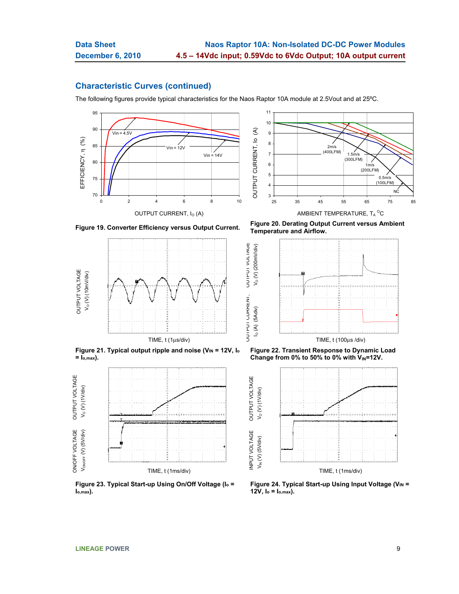**OUIPUI VOLIAGE**  $V_O (V) (200mV/div)$ 

INPUT VOLTAGE OUTPUT VOLTAGE

### **Characteristic Curves (continued)**

The following figures provide typical characteristics for the Naos Raptor 10A module at 2.5Vout and at 25ºC.







Figure 21. Typical output ripple and noise (V<sub>IN</sub> = 12V, I<sub>o</sub> **= Io,max).** 



**Figure 23. Typical Start-up Using On/Off Voltage (Io = Io,max).** 

**Figure 19. Converter Efficiency versus Output Current. Figure 20. Derating Output Current versus Ambient Temperature and Airflow.** 



**Figure 22. Transient Response to Dynamic Load**  Change from 0% to 50% to 0% with V<sub>IN</sub>=12V.



Figure 24. Typical Start-up Using Input Voltage (VIN = **12V, Io = Io,max).**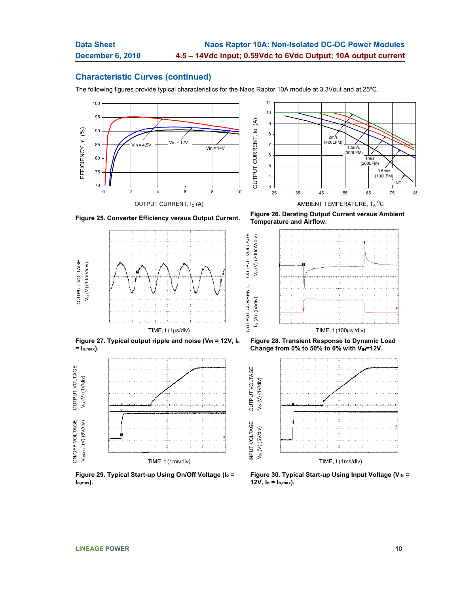## **Characteristic Curves (continued)**

The following figures provide typical characteristics for the Naos Raptor 10A module at 3.3Vout and at 25ºC.

OUTPUT CURRENT, OUTPUT VOLTAGE

**UUIPUI VULIAGE** 







Figure 27. Typical output ripple and noise (V<sub>IN</sub> = 12V, I<sub>o</sub> **= Io,max).** 



**Figure 29. Typical Start-up Using On/Off Voltage (Io = Io,max).** 

**Figure 25. Converter Efficiency versus Output Current. Figure 26. Derating Output Current versus Ambient Temperature and Airflow.** 



**Figure 28. Transient Response to Dynamic Load**  Change from 0% to 50% to 0% with V<sub>IN</sub>=12V.



Figure 30. Typical Start-up Using Input Voltage (VIN = **12V, Io = Io,max).**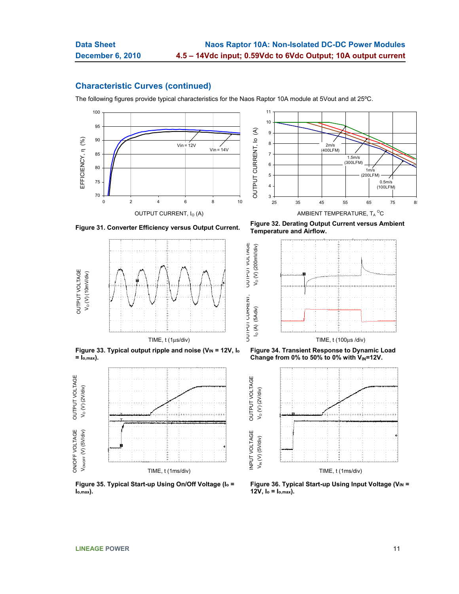**UUIFUI VULIAGE**  $V_O (V) (200mV/div)$ 

### **Characteristic Curves (continued)**

The following figures provide typical characteristics for the Naos Raptor 10A module at 5Vout and at 25ºC.







Figure 33. Typical output ripple and noise (V<sub>IN</sub> = 12V, I<sub>o</sub> **= Io,max).** 



**Figure 35. Typical Start-up Using On/Off Voltage (Io = Io,max).** 

**Figure 31. Converter Efficiency versus Output Current. Figure 32. Derating Output Current versus Ambient Temperature and Airflow.** 



**Figure 34. Transient Response to Dynamic Load**  Change from 0% to 50% to 0% with V<sub>IN</sub>=12V.



Figure 36. Typical Start-up Using Input Voltage (VIN = **12V, Io = Io,max).**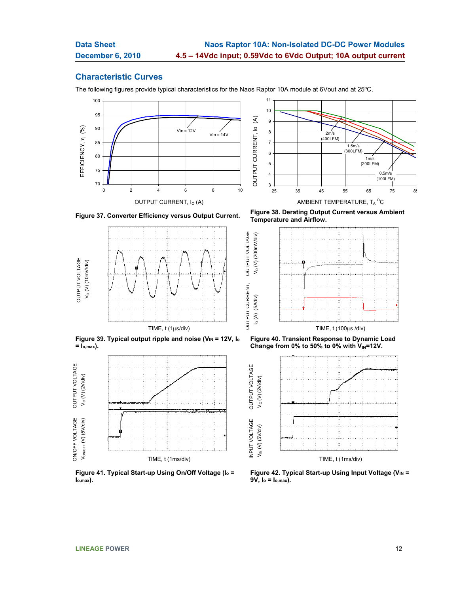### **Characteristic Curves**

The following figures provide typical characteristics for the Naos Raptor 10A module at 6Vout and at 25ºC.

OUTPUT CURRENT, OUTPUT VOLTAGE

**UUIPUI VULIAGE** 







Figure 39. Typical output ripple and noise (V<sub>IN</sub> = 12V, l<sub>o</sub> **= Io,max).** 



**Figure 41. Typical Start-up Using On/Off Voltage (Io = Io,max).** 

**Figure 37. Converter Efficiency versus Output Current. Figure 38. Derating Output Current versus Ambient Temperature and Airflow.** 







Figure 42. Typical Start-up Using Input Voltage (V<sub>IN</sub> = **9V, Io = Io,max).**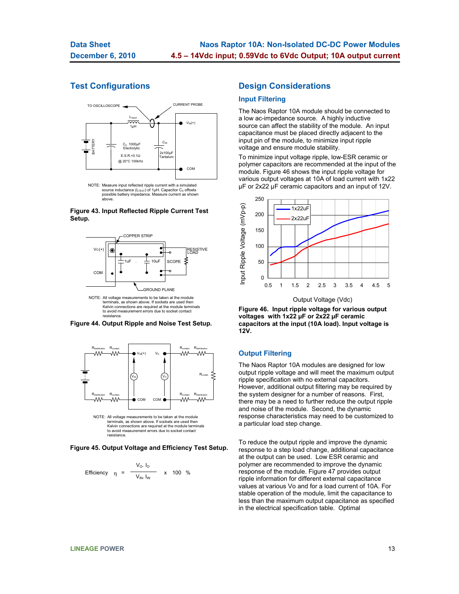# **Test Configurations**



#### **Figure 43. Input Reflected Ripple Current Test Setup.**



NOTE: All voltage measurements to be taken at the module terminals, as shown above. If sockets are used then Kelvin connections are required at the module terminals to avoid measurement errors due to socket contact resistance.





**Figure 45. Output Voltage and Efficiency Test Setup.** 

Efficiency 
$$
\eta = \frac{V_O. I_O}{V_{IN.} I_{IN}}
$$
 x 100 %

### **Design Considerations**

### **Input Filtering**

The Naos Raptor 10A module should be connected to a low ac-impedance source. A highly inductive source can affect the stability of the module. An input capacitance must be placed directly adjacent to the input pin of the module, to minimize input ripple voltage and ensure module stability.

To minimize input voltage ripple, low-ESR ceramic or polymer capacitors are recommended at the input of the module. Figure 46 shows the input ripple voltage for various output voltages at 10A of load current with 1x22 µF or 2x22 µF ceramic capacitors and an input of 12V.



**Figure 46. Input ripple voltage for various output voltages with 1x22 µF or 2x22 µF ceramic capacitors at the input (10A load). Input voltage is 12V.** 

#### **Output Filtering**

The Naos Raptor 10A modules are designed for low output ripple voltage and will meet the maximum output ripple specification with no external capacitors. However, additional output filtering may be required by the system designer for a number of reasons. First, there may be a need to further reduce the output ripple and noise of the module. Second, the dynamic response characteristics may need to be customized to a particular load step change.

To reduce the output ripple and improve the dynamic response to a step load change, additional capacitance at the output can be used. Low ESR ceramic and polymer are recommended to improve the dynamic response of the module. Figure 47 provides output ripple information for different external capacitance values at various Vo and for a load current of 10A. For stable operation of the module, limit the capacitance to less than the maximum output capacitance as specified in the electrical specification table. Optimal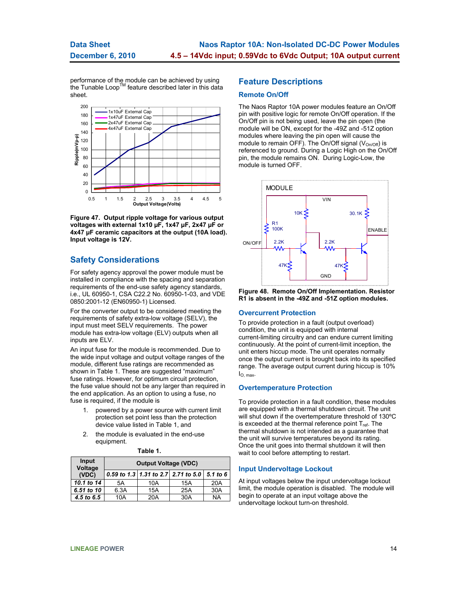performance of the module can be achieved by using<br>the Tunable Loop™ feature described later in this data sheet.



**Figure 47. Output ripple voltage for various output voltages with external 1x10 µF, 1x47 µF, 2x47 µF or 4x47 µF ceramic capacitors at the output (10A load). Input voltage is 12V.** 

# **Safety Considerations**

For safety agency approval the power module must be installed in compliance with the spacing and separation requirements of the end-use safety agency standards, i.e., UL 60950-1, CSA C22.2 No. 60950-1-03, and VDE 0850:2001-12 (EN60950-1) Licensed.

For the converter output to be considered meeting the requirements of safety extra-low voltage (SELV), the input must meet SELV requirements. The power module has extra-low voltage (ELV) outputs when all inputs are ELV.

An input fuse for the module is recommended. Due to the wide input voltage and output voltage ranges of the module, different fuse ratings are recommended as shown in Table 1. These are suggested "maximum" fuse ratings. However, for optimum circuit protection, the fuse value should not be any larger than required in the end application. As an option to using a fuse, no fuse is required, if the module is

- 1. powered by a power source with current limit protection set point less than the protection device value listed in Table 1, and
- 2. the module is evaluated in the end-use equipment.

| Input<br>Voltage | <b>Output Voltage (VDC)</b> |     |                                     |           |  |  |  |  |
|------------------|-----------------------------|-----|-------------------------------------|-----------|--|--|--|--|
| (VDC)            |                             |     | 0.59 to 1.3 1.31 to 2.7 2.71 to 5.0 | 5.1 to 6  |  |  |  |  |
| 10.1 to 14       | 5Α                          | 10A | 15A                                 | 20A       |  |  |  |  |
| 6.51 to 10       | 6.3A                        | 15A | 25A                                 | 30A       |  |  |  |  |
| 4.5 to 6.5       | 10A                         | 20A | 30A                                 | <b>NA</b> |  |  |  |  |

#### **Table 1.**

#### **Feature Descriptions**

#### **Remote On/Off**

The Naos Raptor 10A power modules feature an On/Off pin with positive logic for remote On/Off operation. If the On/Off pin is not being used, leave the pin open (the module will be ON, except for the -49Z and -51Z option modules where leaving the pin open will cause the module to remain OFF). The On/Off signal ( $V_{On/Off}$ ) is referenced to ground. During a Logic High on the On/Off pin, the module remains ON. During Logic-Low, the module is turned OFF.



**Figure 48. Remote On/Off Implementation. Resistor R1 is absent in the -49Z and -51Z option modules.** 

#### **Overcurrent Protection**

To provide protection in a fault (output overload) condition, the unit is equipped with internal current-limiting circuitry and can endure current limiting continuously. At the point of current-limit inception, the unit enters hiccup mode. The unit operates normally once the output current is brought back into its specified range. The average output current during hiccup is 10%  $\overline{\mathsf{I}}$ 

#### **Overtemperature Protection**

To provide protection in a fault condition, these modules are equipped with a thermal shutdown circuit. The unit will shut down if the overtemperature threshold of 130ºC is exceeded at the thermal reference point  $T_{ref.}$  The thermal shutdown is not intended as a guarantee that the unit will survive temperatures beyond its rating. Once the unit goes into thermal shutdown it will then wait to cool before attempting to restart.

#### **Input Undervoltage Lockout**

At input voltages below the input undervoltage lockout limit, the module operation is disabled. The module will begin to operate at an input voltage above the undervoltage lockout turn-on threshold.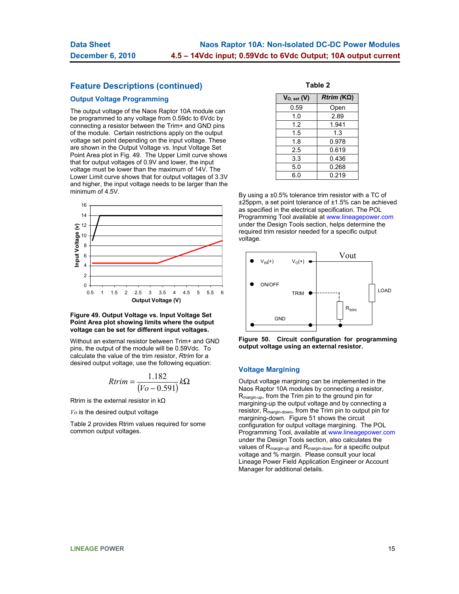## **Feature Descriptions (continued)**

### **Output Voltage Programming**

The output voltage of the Naos Raptor 10A module can be programmed to any voltage from 0.59dc to 6Vdc by connecting a resistor between the Trim+ and GND pins of the module. Certain restrictions apply on the output voltage set point depending on the input voltage. These are shown in the Output Voltage vs. Input Voltage Set Point Area plot in Fig. 49. The Upper Limit curve shows that for output voltages of 0.9V and lower, the input voltage must be lower than the maximum of 14V. The Lower Limit curve shows that for output voltages of 3.3V and higher, the input voltage needs to be larger than the minimum of 4.5V.



#### **Figure 49. Output Voltage vs. Input Voltage Set Point Area plot showing limits where the output voltage can be set for different input voltages.**

Without an external resistor between Trim+ and GND pins, the output of the module will be 0.59Vdc. To calculate the value of the trim resistor, *Rtrim* for a desired output voltage, use the following equation:

$$
Rtrim = \frac{1.182}{(Vo - 0.591)}k\Omega
$$

Rtrim is the external resistor in kΩ

*Vo* is the desired output voltage

Table 2 provides Rtrim values required for some common output voltages.

**Table 2**

| $V_{O, set}(V)$ | $Rtrim (K\Omega)$ |
|-----------------|-------------------|
| 0.59            | Open              |
| 1.0             | 2.89              |
| 1.2             | 1.941             |
| 1.5             | 1.3               |
| 1.8             | 0.978             |
| 2.5             | 0.619             |
| 3.3             | 0.436             |
| 5.0             | 0.268             |
| 6.0             | 0.219             |

By using a ±0.5% tolerance trim resistor with a TC of ±25ppm, a set point tolerance of ±1.5% can be achieved as specified in the electrical specification. The POL Programming Tool available at www.lineagepower.com under the Design Tools section, helps determine the required trim resistor needed for a specific output voltage.



**Figure 50. Circuit configuration for programming output voltage using an external resistor.** 

#### **Voltage Margining**

Output voltage margining can be implemented in the Naos Raptor 10A modules by connecting a resistor, R<sub>margin-up</sub>, from the Trim pin to the ground pin for margining-up the output voltage and by connecting a resistor, Rmargin-down, from the Trim pin to output pin for margining-down. Figure 51 shows the circuit configuration for output voltage margining. The POL Programming Tool, available at www.lineagepower.com under the Design Tools section, also calculates the values of Rmargin-up and Rmargin-down for a specific output voltage and % margin. Please consult your local Lineage Power Field Application Engineer or Account Manager for additional details.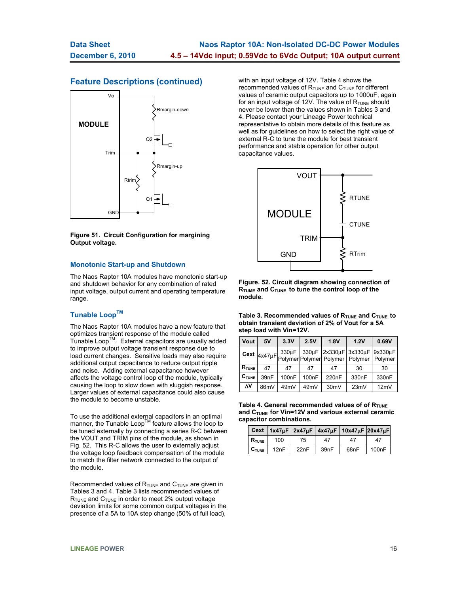## **Feature Descriptions (continued)**



**Figure 51. Circuit Configuration for margining Output voltage.**

#### **Monotonic Start-up and Shutdown**

The Naos Raptor 10A modules have monotonic start-up and shutdown behavior for any combination of rated input voltage, output current and operating temperature range.

### **Tunable LoopTM**

The Naos Raptor 10A modules have a new feature that optimizes transient response of the module called Tunable Loop<sup>TM</sup>. External capacitors are usually added to improve output voltage transient response due to load current changes. Sensitive loads may also require additional output capacitance to reduce output ripple and noise. Adding external capacitance however affects the voltage control loop of the module, typically causing the loop to slow down with sluggish response. Larger values of external capacitance could also cause the module to become unstable.

To use the additional external capacitors in an optimal manner, the Tunable Loop<sup>TM</sup> feature allows the loop to be tuned externally by connecting a series R-C between the VOUT and TRIM pins of the module, as shown in Fig. 52. This R-C allows the user to externally adjust the voltage loop feedback compensation of the module to match the filter network connected to the output of the module.

Recommended values of  $R_{\text{TUNE}}$  and  $C_{\text{TUNE}}$  are given in Tables 3 and 4. Table 3 lists recommended values of  $R_{\text{TUNE}}$  and  $C_{\text{TUNE}}$  in order to meet 2% output voltage deviation limits for some common output voltages in the presence of a 5A to 10A step change (50% of full load),

with an input voltage of 12V. Table 4 shows the recommended values of  $R_{\text{TUNE}}$  and  $C_{\text{TUNE}}$  for different values of ceramic output capacitors up to 1000uF, again for an input voltage of 12V. The value of  $R_{\text{TUNE}}$  should never be lower than the values shown in Tables 3 and 4. Please contact your Lineage Power technical representative to obtain more details of this feature as well as for guidelines on how to select the right value of external R-C to tune the module for best transient performance and stable operation for other output capacitance values.



**Figure. 52. Circuit diagram showing connection of RTUME and CTUNE to tune the control loop of the module.** 

Table 3. Recommended values of R<sub>TUNE</sub> and C<sub>TUNE</sub> to **obtain transient deviation of 2% of Vout for a 5A step load with Vin=12V.** 

| Vout                | 5V   | 3.3V               | 2.5V               | 1.8V               | 1.2V                                                                                                                                                                                                                                                                                                                                                                | 0.69V |
|---------------------|------|--------------------|--------------------|--------------------|---------------------------------------------------------------------------------------------------------------------------------------------------------------------------------------------------------------------------------------------------------------------------------------------------------------------------------------------------------------------|-------|
|                     |      | 330uF              |                    |                    | 330µF 2x330µF 3x330µF 9x330µF<br>$\frac{1}{1}$ Cext $\frac{1}{4}$ $\times$ 47µF $\frac{1}{1}$ $\frac{339 \mu \text{F}}{1}$ $\frac{1}{1}$ $\frac{339 \mu \text{F}}{1}$ $\frac{1}{1}$ $\frac{339 \mu \text{F}}{1}$ $\frac{1}{1}$ $\frac{339 \mu \text{F}}{1}$ $\frac{1}{1}$ $\frac{339 \mu \text{F}}{1}$ $\frac{1}{1}$ $\frac{339 \mu \text{F}}{1}$ $\frac{1}{1}$ $\$ |       |
| $R$ <sub>TUNE</sub> | 47   | 47                 | 47                 | 47                 | 30                                                                                                                                                                                                                                                                                                                                                                  | 30    |
| $C_{\text{TUNE}}$   | 39nF | 100 <sub>n</sub> F | 100 <sub>n</sub> F | 220 <sub>n</sub> F | 330 <sub>n</sub> F                                                                                                                                                                                                                                                                                                                                                  | 330nF |
| ΔV                  | 86mV | 49mV               | 49mV               | 30 <sub>m</sub> V  | 23mV                                                                                                                                                                                                                                                                                                                                                                | 12mV  |

Table 4. General recommended values of of R<sub>TUNE</sub> and C<sub>TUNE</sub> for Vin=12V and various external ceramic **capacitor combinations.** 

|                   |      |      |      | Cext   1x47uF   2x47uF   4x47uF   10x47uF   20x47uF |       |
|-------------------|------|------|------|-----------------------------------------------------|-------|
| $R_{\text{TUNE}}$ | 100  | 75   | 47   | 47                                                  | 47    |
| $C_{\text{TUNE}}$ | 12nF | 22nF | 39nF | 68nF                                                | 100nF |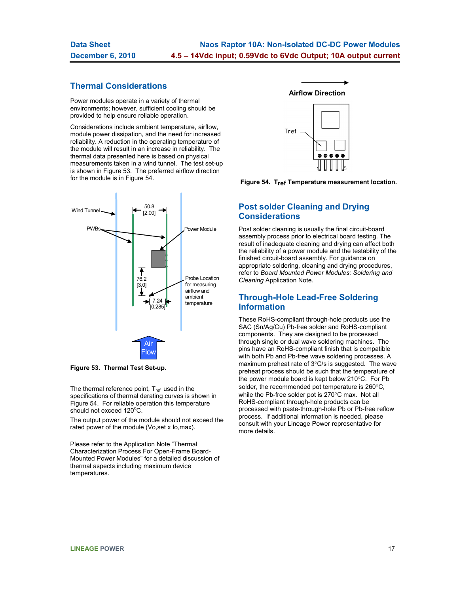# **Thermal Considerations**

Power modules operate in a variety of thermal environments; however, sufficient cooling should be provided to help ensure reliable operation.

Considerations include ambient temperature, airflow, module power dissipation, and the need for increased reliability. A reduction in the operating temperature of the module will result in an increase in reliability. The thermal data presented here is based on physical measurements taken in a wind tunnel. The test set-up is shown in Figure 53. The preferred airflow direction for the module is in Figure 54.



**Figure 53. Thermal Test Set-up.**

The thermal reference point,  $T_{ref}$  used in the specifications of thermal derating curves is shown in Figure 54. For reliable operation this temperature should not exceed 120°C.

The output power of the module should not exceed the rated power of the module (Vo,set x Io,max).

Please refer to the Application Note "Thermal Characterization Process For Open-Frame Board-Mounted Power Modules" for a detailed discussion of thermal aspects including maximum device temperatures.

**Airflow Direction** 



**Figure 54. Tref Temperature measurement location.** 

# **Post solder Cleaning and Drying Considerations**

Post solder cleaning is usually the final circuit-board assembly process prior to electrical board testing. The result of inadequate cleaning and drying can affect both the reliability of a power module and the testability of the finished circuit-board assembly. For guidance on appropriate soldering, cleaning and drying procedures, refer to *Board Mounted Power Modules: Soldering and Cleaning* Application Note.

# **Through-Hole Lead-Free Soldering Information**

These RoHS-compliant through-hole products use the SAC (Sn/Ag/Cu) Pb-free solder and RoHS-compliant components. They are designed to be processed through single or dual wave soldering machines. The pins have an RoHS-compliant finish that is compatible with both Pb and Pb-free wave soldering processes. A maximum preheat rate of 3°C/s is suggested. The wave preheat process should be such that the temperature of the power module board is kept below 210°C. For Pb solder, the recommended pot temperature is 260°C, while the Pb-free solder pot is 270°C max. Not all RoHS-compliant through-hole products can be processed with paste-through-hole Pb or Pb-free reflow process. If additional information is needed, please consult with your Lineage Power representative for more details.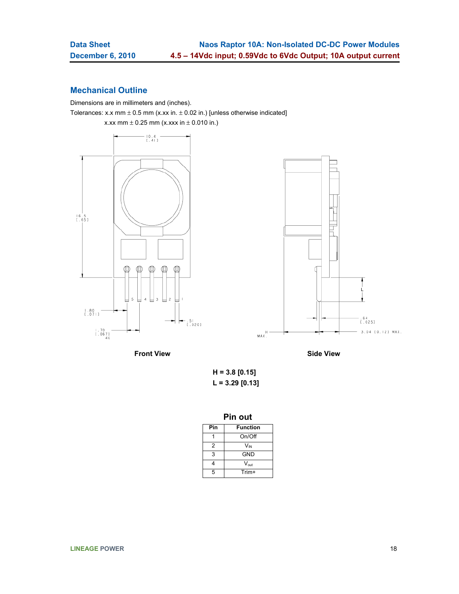# **Mechanical Outline**

Dimensions are in millimeters and (inches). Tolerances: x.x mm  $\pm$  0.5 mm (x.xx in.  $\pm$  0.02 in.) [unless otherwise indicated]

x.xx mm  $\pm$  0.25 mm (x.xxx in  $\pm$  0.010 in.)





**Front View**  Side View

**H = 3.8 [0.15] L = 3.29 [0.13]** 

| Pın | out |
|-----|-----|
|     |     |

| Pin | <b>Function</b>  |
|-----|------------------|
|     | On/Off           |
| 2   | $V_{IN}$         |
| 3   | <b>GND</b>       |
|     | $V_{\text{out}}$ |
| 5   | Trim+            |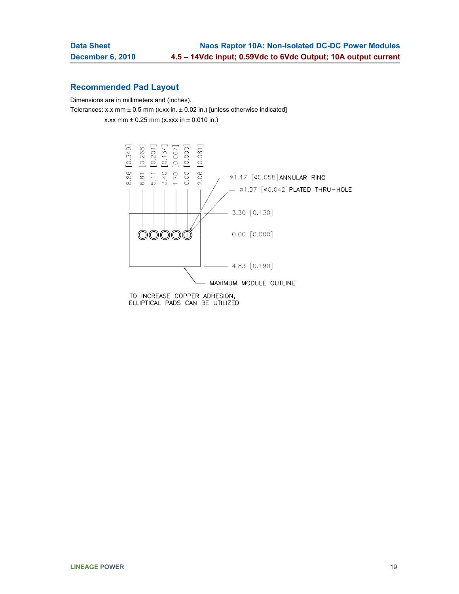# **Recommended Pad Layout**

Dimensions are in millimeters and (inches).

Tolerances: x.x mm  $\pm$  0.5 mm (x.xx in.  $\pm$  0.02 in.) [unless otherwise indicated]

x.xx mm  $\pm$  0.25 mm (x.xxx in  $\pm$  0.010 in.)



ELLIPTICAL PADS CAN BE UTILIZED